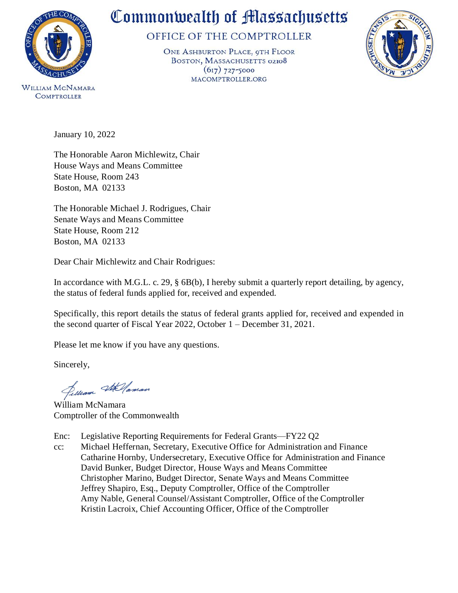

**COMPTROLLER** 

## Commonwealth of Massachusetts

OFFICE OF THE COMPTROLLER

ONE ASHBURTON PLACE, 9TH FLOOR BOSTON, MASSACHUSETTS 02108  $(617)$  727-5000 MACOMPTROLLER.ORG



January 10, 2022

The Honorable Aaron Michlewitz, Chair House Ways and Means Committee State House, Room 243 Boston, MA 02133

The Honorable Michael J. Rodrigues, Chair Senate Ways and Means Committee State House, Room 212 Boston, MA 02133

Dear Chair Michlewitz and Chair Rodrigues:

In accordance with M.G.L. c. 29, § 6B(b), I hereby submit a quarterly report detailing, by agency, the status of federal funds applied for, received and expended.

Specifically, this report details the status of federal grants applied for, received and expended in the second quarter of Fiscal Year 2022, October 1 – December 31, 2021.

Please let me know if you have any questions.

Sincerely,

Silliam Stellaman

William McNamara Comptroller of the Commonwealth

Enc: [Legislative Reporting Requirements for Federal Grants—FY22 Q2](#page-1-0) 

cc: Michael Heffernan, Secretary, Executive Office for Administration and Finance Catharine Hornby, Undersecretary, Executive Office for Administration and Finance David Bunker, Budget Director, House Ways and Means Committee Christopher Marino, Budget Director, Senate Ways and Means Committee Jeffrey Shapiro, Esq., Deputy Comptroller, Office of the Comptroller Amy Nable, General Counsel/Assistant Comptroller, Office of the Comptroller Kristin Lacroix, Chief Accounting Officer, Office of the Comptroller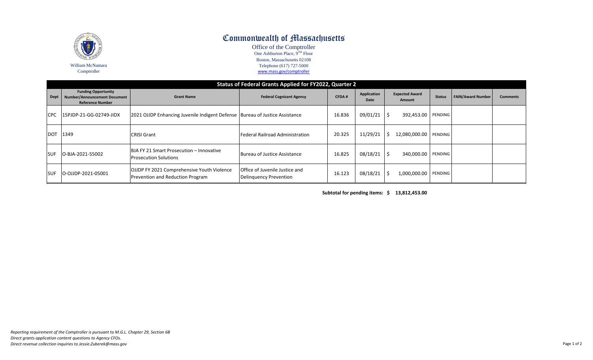<span id="page-1-0"></span>

## Commonwealth of Massachusetts

Office of the Comptroller One Ashburton Place, 9<sup>TH</sup> Floor Boston, Massachusetts 02108 Telephone (617) 727-5000 [www.mass.gov/comptroller](http://www.mass.gov/comptroller)

| Status of Federal Grants Applied for FY2022, Quarter 2 |                                                                                              |                                                                                       |                                                          |              |                     |                                 |               |                          |                 |  |  |  |
|--------------------------------------------------------|----------------------------------------------------------------------------------------------|---------------------------------------------------------------------------------------|----------------------------------------------------------|--------------|---------------------|---------------------------------|---------------|--------------------------|-----------------|--|--|--|
| <b>Dept</b>                                            | <b>Funding Opportunity</b><br><b>Number/Announcement Document</b><br><b>Reference Number</b> | <b>Grant Name</b>                                                                     | <b>Federal Cognizant Agency</b>                          | <b>CFDA#</b> | Application<br>Date | <b>Expected Award</b><br>Amount | <b>Status</b> | <b>FAIN/Award Number</b> | <b>Comments</b> |  |  |  |
| CPC.                                                   | 15PJDP-21-GG-02749-JIDX                                                                      | 2021 OJJDP Enhancing Juvenile Indigent Defense   Bureau of Justice Assistance         |                                                          | 16.836       | 09/01/21            | -\$<br>392,453.00 PENDING       |               |                          |                 |  |  |  |
| <b>DOT</b>                                             | 1349                                                                                         | <b>CRISI Grant</b>                                                                    | Federal Railroad Administration                          | 20.325       | 11/29/21            | 12,080,000.00<br>S              | PENDING       |                          |                 |  |  |  |
| <b>SUF</b>                                             | O-BJA-2021-55002                                                                             | <b>BJA FY 21 Smart Prosecution - Innovative</b><br><b>Prosecution Solutions</b>       | Bureau of Justice Assistance                             | 16.825       | 08/18/21            | Ŝ.<br>340,000.00 PENDING        |               |                          |                 |  |  |  |
| <b>SUF</b>                                             | O-OJJDP-2021-05001                                                                           | <b>OJJDP FY 2021 Comprehensive Youth Violence</b><br>Prevention and Reduction Program | Office of Juvenile Justice and<br>Delinguency Prevention | 16.123       | 08/18/21            | 1,000,000.00 PENDING<br>-S      |               |                          |                 |  |  |  |

**Subtotal for pending items: \$ 13,812,453.00**